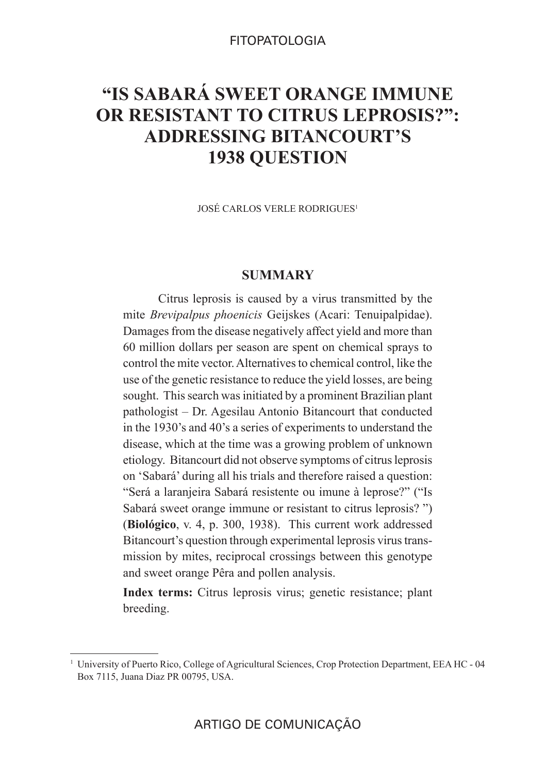## FITOPATOLOGIA

# **"IS SABARÁ SWEET ORANGE IMMUNE OR RESISTANT TO CITRUS LEPROSIS?": ADDRESSING BITANCOURT'S 1938 QUESTION**

JOSÉ CARLOS VERLE RODRIGUES1

# **SUMMARY**

Citrus leprosis is caused by a virus transmitted by the mite *Brevipalpus phoenicis* Geijskes (Acari: Tenuipalpidae). Damages from the disease negatively affect yield and more than 60 million dollars per season are spent on chemical sprays to control the mite vector. Alternatives to chemical control, like the use of the genetic resistance to reduce the yield losses, are being sought. This search was initiated by a prominent Brazilian plant pathologist – Dr. Agesilau Antonio Bitancourt that conducted in the 1930's and 40's a series of experiments to understand the disease, which at the time was a growing problem of unknown etiology. Bitancourt did not observe symptoms of citrus leprosis on 'Sabará' during all his trials and therefore raised a question: "Será a laranjeira Sabará resistente ou imune à leprose?" ("Is Sabará sweet orange immune or resistant to citrus leprosis? ") (**Biológico**, v. 4, p. 300, 1938). This current work addressed Bitancourt's question through experimental leprosis virus transmission by mites, reciprocal crossings between this genotype and sweet orange Pêra and pollen analysis.

**Index terms:** Citrus leprosis virus; genetic resistance; plant breeding.

<sup>1</sup> University of Puerto Rico, College of Agricultural Sciences, Crop Protection Department, EEA HC - 04 Box 7115, Juana Diaz PR 00795, USA.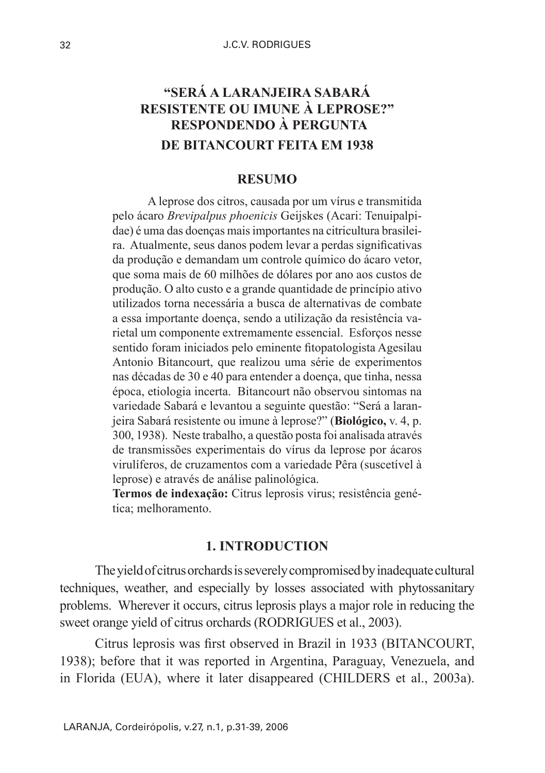# **"SERÁ A LARANJEIRA SABARÁ RESISTENTE OU IMUNE À LEPROSE?" RESPONDENDO À PERGUNTA DE BITANCOURT FEITA EM 1938**

# **RESUMO**

A leprose dos citros, causada por um vírus e transmitida pelo ácaro *Brevipalpus phoenicis* Geijskes (Acari: Tenuipalpidae) é uma das doenças mais importantes na citricultura brasileira. Atualmente, seus danos podem levar a perdas significativas da produção e demandam um controle químico do ácaro vetor, que soma mais de 60 milhões de dólares por ano aos custos de produção. O alto custo e a grande quantidade de princípio ativo utilizados torna necessária a busca de alternativas de combate a essa importante doença, sendo a utilização da resistência varietal um componente extremamente essencial. Esforços nesse sentido foram iniciados pelo eminente fitopatologista Agesilau Antonio Bitancourt, que realizou uma série de experimentos nas décadas de 30 e 40 para entender a doença, que tinha, nessa época, etiologia incerta. Bitancourt não observou sintomas na variedade Sabará e levantou a seguinte questão: "Será a laranjeira Sabará resistente ou imune à leprose?" (**Biológico,** v. 4, p. 300, 1938). Neste trabalho, a questão posta foi analisada através de transmissões experimentais do vírus da leprose por ácaros virulíferos, de cruzamentos com a variedade Pêra (suscetível à leprose) e através de análise palinológica.

**Termos de indexação:** Citrus leprosis virus; resistência genética; melhoramento.

#### **1. INTRODUCTION**

The yield of citrus orchards is severely compromised by inadequate cultural techniques, weather, and especially by losses associated with phytossanitary problems. Wherever it occurs, citrus leprosis plays a major role in reducing the sweet orange yield of citrus orchards (RODRIGUES et al., 2003).

Citrus leprosis was first observed in Brazil in 1933 (BITANCOURT, 1938); before that it was reported in Argentina, Paraguay, Venezuela, and in Florida (EUA), where it later disappeared (CHILDERS et al., 2003a).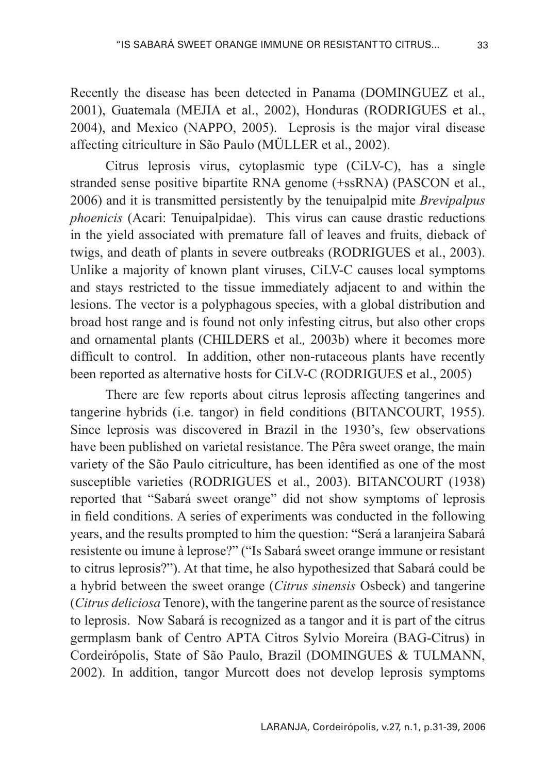Recently the disease has been detected in Panama (DOMINGUEZ et al., 2001), Guatemala (MEJIA et al., 2002), Honduras (RODRIGUES et al., 2004), and Mexico (NAPPO, 2005). Leprosis is the major viral disease affecting citriculture in São Paulo (MÜLLER et al., 2002).

Citrus leprosis virus, cytoplasmic type (CiLV-C), has a single stranded sense positive bipartite RNA genome (+ssRNA) (PASCON et al., 2006) and it is transmitted persistently by the tenuipalpid mite *Brevipalpus phoenicis* (Acari: Tenuipalpidae). This virus can cause drastic reductions in the yield associated with premature fall of leaves and fruits, dieback of twigs, and death of plants in severe outbreaks (RODRIGUES et al., 2003). Unlike a majority of known plant viruses, CiLV-C causes local symptoms and stays restricted to the tissue immediately adjacent to and within the lesions. The vector is a polyphagous species, with a global distribution and broad host range and is found not only infesting citrus, but also other crops and ornamental plants (CHILDERS et al.*,* 2003b) where it becomes more difficult to control. In addition, other non-rutaceous plants have recently been reported as alternative hosts for CiLV-C (RODRIGUES et al., 2005)

There are few reports about citrus leprosis affecting tangerines and tangerine hybrids (i.e. tangor) in field conditions (BITANCOURT, 1955). Since leprosis was discovered in Brazil in the 1930's, few observations have been published on varietal resistance. The Pêra sweet orange, the main variety of the São Paulo citriculture, has been identified as one of the most susceptible varieties (RODRIGUES et al., 2003). BITANCOURT (1938) reported that "Sabará sweet orange" did not show symptoms of leprosis in field conditions. A series of experiments was conducted in the following years, and the results prompted to him the question: "Será a laranjeira Sabará resistente ou imune à leprose?" ("Is Sabará sweet orange immune or resistant to citrus leprosis?"). At that time, he also hypothesized that Sabará could be a hybrid between the sweet orange (*Citrus sinensis* Osbeck) and tangerine (*Citrus deliciosa* Tenore), with the tangerine parent as the source of resistance to leprosis. Now Sabará is recognized as a tangor and it is part of the citrus germplasm bank of Centro APTA Citros Sylvio Moreira (BAG-Citrus) in Cordeirópolis, State of São Paulo, Brazil (DOMINGUES & TULMANN, 2002). In addition, tangor Murcott does not develop leprosis symptoms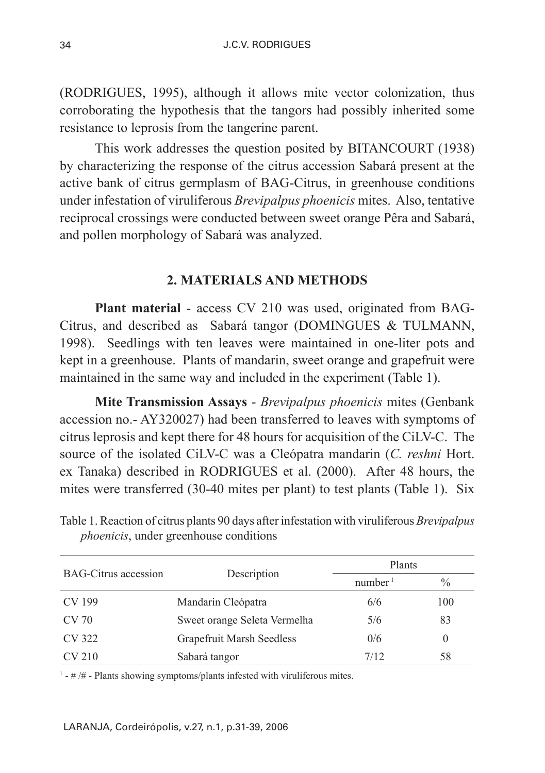(RODRIGUES, 1995), although it allows mite vector colonization, thus corroborating the hypothesis that the tangors had possibly inherited some resistance to leprosis from the tangerine parent.

This work addresses the question posited by BITANCOURT (1938) by characterizing the response of the citrus accession Sabará present at the active bank of citrus germplasm of BAG-Citrus, in greenhouse conditions under infestation of viruliferous *Brevipalpus phoenicis* mites. Also, tentative reciprocal crossings were conducted between sweet orange Pêra and Sabará, and pollen morphology of Sabará was analyzed.

# **2. MATERIALS AND METHODS**

**Plant material** - access CV 210 was used, originated from BAG-Citrus, and described as Sabará tangor (DOMINGUES & TULMANN, 1998). Seedlings with ten leaves were maintained in one-liter pots and kept in a greenhouse. Plants of mandarin, sweet orange and grapefruit were maintained in the same way and included in the experiment (Table 1).

**Mite Transmission Assays** - *Brevipalpus phoenicis* mites (Genbank accession no.- AY320027) had been transferred to leaves with symptoms of citrus leprosis and kept there for 48 hours for acquisition of the CiLV-C. The source of the isolated CiLV-C was a Cleópatra mandarin (*C. reshni* Hort. ex Tanaka) described in RODRIGUES et al. (2000). After 48 hours, the mites were transferred (30-40 mites per plant) to test plants (Table 1). Six

| <b>BAG-Citrus accession</b> | Description                  | Plants              |               |
|-----------------------------|------------------------------|---------------------|---------------|
|                             |                              | number <sup>1</sup> | $\frac{0}{0}$ |
| CV 199                      | Mandarin Cleópatra           | 6/6                 | 100           |
| CV 70                       | Sweet orange Seleta Vermelha | 5/6                 | 83            |
| CV 322                      | Grapefruit Marsh Seedless    | 0/6                 | 0             |
| CV 210                      | Sabará tangor                | 7/12                | 58            |

Table 1. Reaction of citrus plants 90 days after infestation with viruliferous *Brevipalpus phoenicis*, under greenhouse conditions

 $<sup>1</sup>$  - #/# - Plants showing symptoms/plants infested with viruliferous mites.</sup>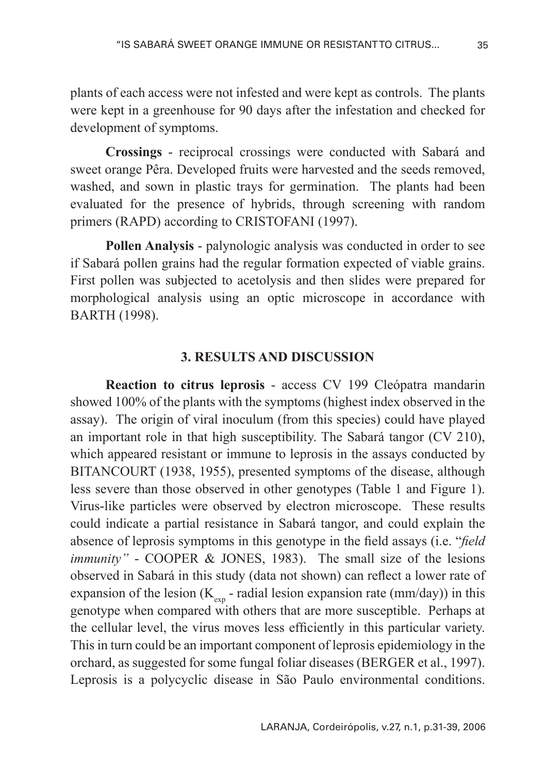plants of each access were not infested and were kept as controls. The plants were kept in a greenhouse for 90 days after the infestation and checked for development of symptoms.

**Crossings** - reciprocal crossings were conducted with Sabará and sweet orange Pêra. Developed fruits were harvested and the seeds removed, washed, and sown in plastic trays for germination. The plants had been evaluated for the presence of hybrids, through screening with random primers (RAPD) according to CRISTOFANI (1997).

**Pollen Analysis** - palynologic analysis was conducted in order to see if Sabará pollen grains had the regular formation expected of viable grains. First pollen was subjected to acetolysis and then slides were prepared for morphological analysis using an optic microscope in accordance with BARTH (1998).

#### **3. RESULTS AND DISCUSSION**

**Reaction to citrus leprosis** - access CV 199 Cleópatra mandarin showed 100% of the plants with the symptoms (highest index observed in the assay). The origin of viral inoculum (from this species) could have played an important role in that high susceptibility. The Sabará tangor (CV 210), which appeared resistant or immune to leprosis in the assays conducted by BITANCOURT (1938, 1955), presented symptoms of the disease, although less severe than those observed in other genotypes (Table 1 and Figure 1). Virus-like particles were observed by electron microscope. These results could indicate a partial resistance in Sabará tangor, and could explain the absence of leprosis symptoms in this genotype in the field assays (i.e. "*field immunity"* - COOPER & JONES, 1983). The small size of the lesions observed in Sabará in this study (data not shown) can reflect a lower rate of expansion of the lesion ( $K_{\text{exp}}$  - radial lesion expansion rate (mm/day)) in this genotype when compared with others that are more susceptible. Perhaps at the cellular level, the virus moves less efficiently in this particular variety. This in turn could be an important component of leprosis epidemiology in the orchard, as suggested for some fungal foliar diseases (BERGER et al., 1997). Leprosis is a polycyclic disease in São Paulo environmental conditions.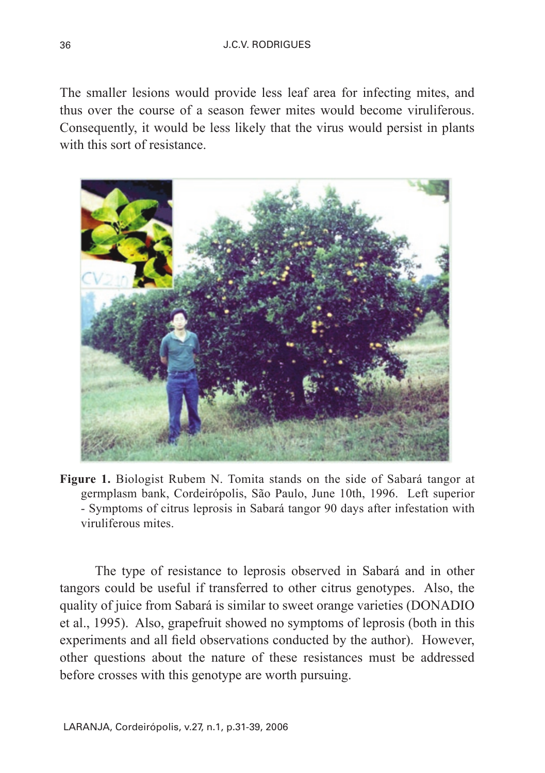The smaller lesions would provide less leaf area for infecting mites, and thus over the course of a season fewer mites would become viruliferous. Consequently, it would be less likely that the virus would persist in plants with this sort of resistance



**Figure 1.** Biologist Rubem N. Tomita stands on the side of Sabará tangor at germplasm bank, Cordeirópolis, São Paulo, June 10th, 1996. Left superior - Symptoms of citrus leprosis in Sabará tangor 90 days after infestation with viruliferous mites.

The type of resistance to leprosis observed in Sabará and in other tangors could be useful if transferred to other citrus genotypes. Also, the quality of juice from Sabará is similar to sweet orange varieties (DONADIO et al., 1995). Also, grapefruit showed no symptoms of leprosis (both in this experiments and all field observations conducted by the author). However, other questions about the nature of these resistances must be addressed before crosses with this genotype are worth pursuing.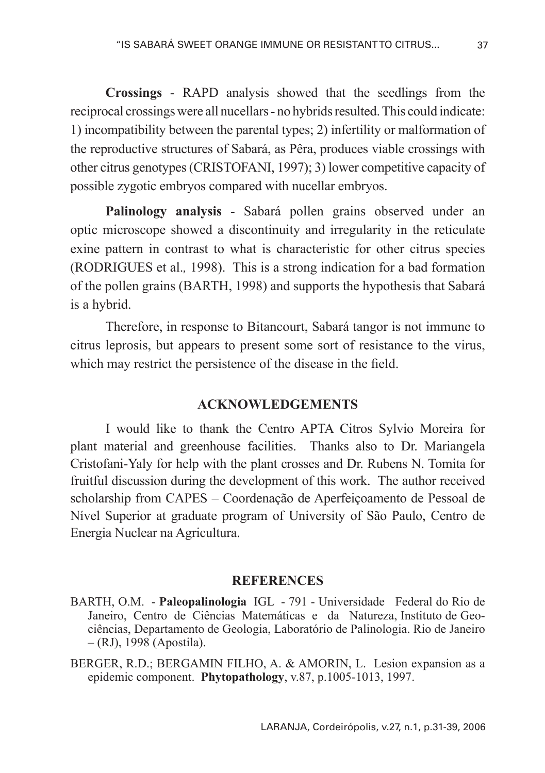**Crossings** - RAPD analysis showed that the seedlings from the reciprocal crossings were all nucellars - no hybrids resulted. This could indicate: 1) incompatibility between the parental types; 2) infertility or malformation of the reproductive structures of Sabará, as Pêra, produces viable crossings with other citrus genotypes (CRISTOFANI, 1997); 3) lower competitive capacity of possible zygotic embryos compared with nucellar embryos.

**Palinology analysis** - Sabará pollen grains observed under an optic microscope showed a discontinuity and irregularity in the reticulate exine pattern in contrast to what is characteristic for other citrus species (RODRIGUES et al.*,* 1998). This is a strong indication for a bad formation of the pollen grains (BARTH, 1998) and supports the hypothesis that Sabará is a hybrid.

Therefore, in response to Bitancourt, Sabará tangor is not immune to citrus leprosis, but appears to present some sort of resistance to the virus, which may restrict the persistence of the disease in the field.

#### **ACKNOWLEDGEMENTS**

I would like to thank the Centro APTA Citros Sylvio Moreira for plant material and greenhouse facilities. Thanks also to Dr. Mariangela Cristofani-Yaly for help with the plant crosses and Dr. Rubens N. Tomita for fruitful discussion during the development of this work. The author received scholarship from CAPES – Coordenação de Aperfeiçoamento de Pessoal de Nível Superior at graduate program of University of São Paulo, Centro de Energia Nuclear na Agricultura.

#### **REFERENCES**

- BARTH, O.M. **Paleopalinologia** IGL 791 Universidade Federal do Rio de Janeiro, Centro de Ciências Matemáticas e da Natureza, Instituto de Geociências, Departamento de Geologia, Laboratório de Palinologia. Rio de Janeiro – (RJ), 1998 (Apostila).
- BERGER, R.D.; BERGAMIN FILHO, A. & AMORIN, L. Lesion expansion as a epidemic component. **Phytopathology**, v.87, p.1005-1013, 1997.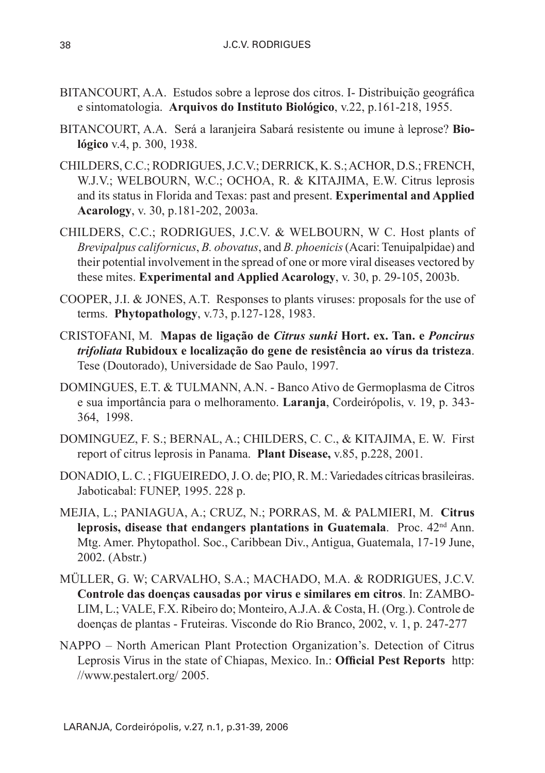- BITANCOURT, A.A. Estudos sobre a leprose dos citros. I- Distribuição geográfica e sintomatologia. **Arquivos do Instituto Biológico**, v.22, p.161-218, 1955.
- BITANCOURT, A.A. Será a laranjeira Sabará resistente ou imune à leprose? **Biológico** v.4, p. 300, 1938.
- CHILDERS, C.C.; RODRIGUES, J.C.V.; DERRICK, K. S.; ACHOR, D.S.; FRENCH, W.J.V.; WELBOURN, W.C.; OCHOA, R. & KITAJIMA, E.W. Citrus leprosis and its status in Florida and Texas: past and present. **Experimental and Applied Acarology**, v. 30, p.181-202, 2003a.
- CHILDERS, C.C.; RODRIGUES, J.C.V. & WELBOURN, W C. Host plants of *Brevipalpus californicus*, *B. obovatus*, and *B. phoenicis* (Acari: Tenuipalpidae) and their potential involvement in the spread of one or more viral diseases vectored by these mites. **Experimental and Applied Acarology**, v. 30, p. 29-105, 2003b.
- COOPER, J.I. & JONES, A.T. Responses to plants viruses: proposals for the use of terms. **Phytopathology**, v.73, p.127-128, 1983.
- CRISTOFANI, M. **Mapas de ligação de** *Citrus sunki* **Hort. ex. Tan. e** *Poncirus trifoliata* **Rubidoux e localização do gene de resistência ao vírus da tristeza**. Tese (Doutorado), Universidade de Sao Paulo, 1997.
- DOMINGUES, E.T. & TULMANN, A.N. Banco Ativo de Germoplasma de Citros e sua importância para o melhoramento. **Laranja**, Cordeirópolis, v. 19, p. 343- 364, 1998.
- DOMINGUEZ, F. S.; BERNAL, A.; CHILDERS, C. C., & KITAJIMA, E. W. First report of citrus leprosis in Panama. **Plant Disease,** v.85, p.228, 2001.
- DONADIO, L. C. ; FIGUEIREDO, J. O. de; PIO, R. M.: Variedades cítricas brasileiras. Jaboticabal: FUNEP, 1995. 228 p.
- MEJIA, L.; PANIAGUA, A.; CRUZ, N.; PORRAS, M. & PALMIERI, M. **Citrus leprosis, disease that endangers plantations in Guatemala**. Proc. 42nd Ann. Mtg. Amer. Phytopathol. Soc., Caribbean Div., Antigua, Guatemala, 17-19 June, 2002. (Abstr.)
- MÜLLER, G. W; CARVALHO, S.A.; MACHADO, M.A. & RODRIGUES, J.C.V. **Controle das doenças causadas por virus e similares em citros**. In: ZAMBO-LIM, L.; VALE, F.X. Ribeiro do; Monteiro, A.J.A. & Costa, H. (Org.). Controle de doenças de plantas - Fruteiras. Visconde do Rio Branco, 2002, v. 1, p. 247-277
- NAPPO North American Plant Protection Organization's. Detection of Citrus Leprosis Virus in the state of Chiapas, Mexico. In.: **Official Pest Reports** http: //www.pestalert.org/ 2005.